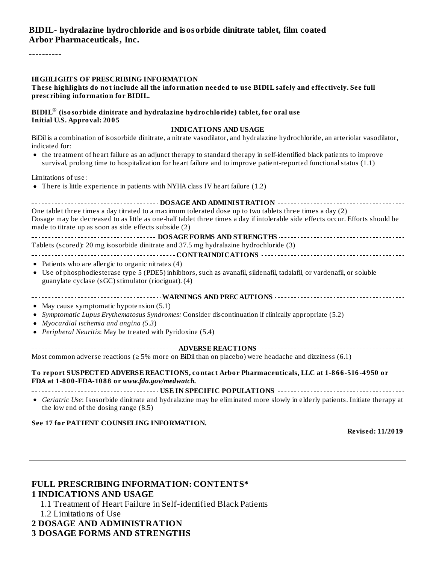#### **BIDIL- hydralazine hydrochloride and isosorbide dinitrate tablet, film coated Arbor Pharmaceuticals, Inc.**

----------

#### **HIGHLIGHTS OF PRESCRIBING INFORMATION**

#### **These highlights do not include all the information needed to use BIDIL safely and effectively. See full prescribing information for BIDIL.**

#### **BIDIL (isosorbide dinitrate and hydralazine hydrochloride) tablet, for oral use ®Initial U.S. Approval: 2005**

**INDICATIONS AND USAGE** BiDil is a combination of isosorbide dinitrate, a nitrate vasodilator, and hydralazine hydrochloride, an arteriolar vasodilator, indicated for:

the treatment of heart failure as an adjunct therapy to standard therapy in self-identified black patients to improve survival, prolong time to hospitalization for heart failure and to improve patient-reported functional status (1.1)

Limitations of use:

There is little experience in patients with NYHA class IV heart failure (1.2)

| --------------------        DOSAGE AND ADMINISTRATION              --------------                                                                                     |
|-----------------------------------------------------------------------------------------------------------------------------------------------------------------------|
| One tablet three times a day titrated to a maximum tolerated dose up to two tablets three times a day (2)                                                             |
| Dosage may be decreased to as little as one-half tablet three times a day if intolerable side effects occur. Efforts should be                                        |
| made to titrate up as soon as side effects subside (2)                                                                                                                |
|                                                                                                                                                                       |
| Tablets (scored): 20 mg isosorbide dinitrate and 37.5 mg hydralazine hydrochloride (3)                                                                                |
|                                                                                                                                                                       |
| • Patients who are allergic to organic nitrates (4)                                                                                                                   |
| • Use of phosphodiesterase type 5 (PDE5) inhibitors, such as avanafil, sildenafil, tadalafil, or vardenafil, or soluble                                               |
| guanylate cyclase (sGC) stimulator (riociguat). (4)                                                                                                                   |
|                                                                                                                                                                       |
|                                                                                                                                                                       |
| • May cause symptomatic hypotension (5.1)                                                                                                                             |
| • Symptomatic Lupus Erythematosus Syndromes: Consider discontinuation if clinically appropriate (5.2)                                                                 |
| • Myocardial ischemia and angina (5.3)                                                                                                                                |
| • Peripheral Neuritis: May be treated with Pyridoxine (5.4)                                                                                                           |
|                                                                                                                                                                       |
|                                                                                                                                                                       |
| Most common adverse reactions ( $\geq$ 5% more on BiDil than on placebo) were headache and dizziness (6.1)                                                            |
|                                                                                                                                                                       |
| To report SUSPECTED ADVERSE REACTIONS, contact Arbor Pharmaceuticals, LLC at 1-866-516-4950 or                                                                        |
| FDA at 1-800-FDA-1088 or www.fda.gov/medwatch.                                                                                                                        |
|                                                                                                                                                                       |
| • Geriatric Use: Isosorbide dinitrate and hydralazine may be eliminated more slowly in elderly patients. Initiate therapy at<br>the low end of the dosing range (8.5) |

#### **See 17 for PATIENT COUNSELING INFORMATION.**

**Revised: 11/2019**

#### **FULL PRESCRIBING INFORMATION: CONTENTS\* 1 INDICATIONS AND USAGE**

- 1.1 Treatment of Heart Failure in Self-identified Black Patients
- 1.2 Limitations of Use
- **2 DOSAGE AND ADMINISTRATION**

#### **3 DOSAGE FORMS AND STRENGTHS**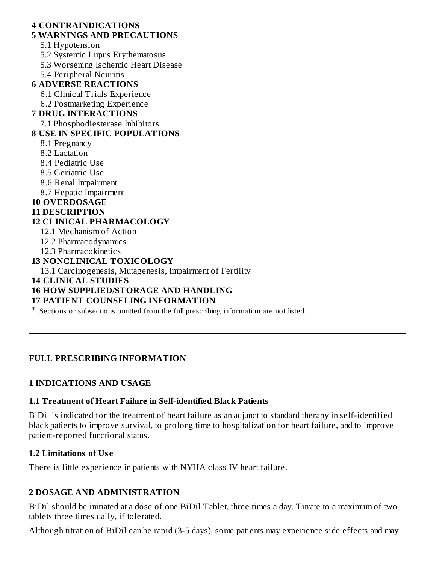#### **4 CONTRAINDICATIONS**

#### **5 WARNINGS AND PRECAUTIONS**

5.1 Hypotension

- 5.2 Systemic Lupus Erythematosus
- 5.3 Worsening Ischemic Heart Disease
- 5.4 Peripheral Neuritis

## **6 ADVERSE REACTIONS**

- 6.1 Clinical Trials Experience
- 6.2 Postmarketing Experience

## **7 DRUG INTERACTIONS**

7.1 Phosphodiesterase Inhibitors

## **8 USE IN SPECIFIC POPULATIONS**

- 8.1 Pregnancy
- 8.2 Lactation
- 8.4 Pediatric Use
- 8.5 Geriatric Use
- 8.6 Renal Impairment
- 8.7 Hepatic Impairment

#### **10 OVERDOSAGE**

#### **11 DESCRIPTION**

## **12 CLINICAL PHARMACOLOGY**

- 12.1 Mechanism of Action
- 12.2 Pharmacodynamics
- 12.3 Pharmacokinetics

## **13 NONCLINICAL TOXICOLOGY**

13.1 Carcinogenesis, Mutagenesis, Impairment of Fertility

**14 CLINICAL STUDIES**

## **16 HOW SUPPLIED/STORAGE AND HANDLING**

#### **17 PATIENT COUNSELING INFORMATION**

\* Sections or subsections omitted from the full prescribing information are not listed.

## **FULL PRESCRIBING INFORMATION**

## **1 INDICATIONS AND USAGE**

#### **1.1 Treatment of Heart Failure in Self-identified Black Patients**

BiDil is indicated for the treatment of heart failure as an adjunct to standard therapy in self-identified black patients to improve survival, to prolong time to hospitalization for heart failure, and to improve patient-reported functional status.

#### **1.2 Limitations of Us e**

There is little experience in patients with NYHA class IV heart failure.

## **2 DOSAGE AND ADMINISTRATION**

BiDil should be initiated at a dose of one BiDil Tablet, three times a day. Titrate to a maximum of two tablets three times daily, if tolerated.

Although titration of BiDil can be rapid (3-5 days), some patients may experience side effects and may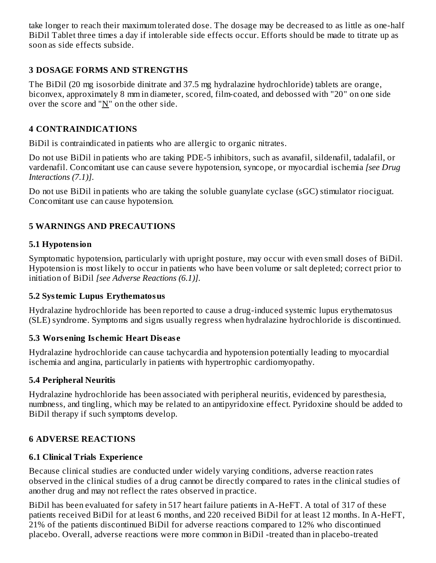take longer to reach their maximum tolerated dose. The dosage may be decreased to as little as one-half BiDil Tablet three times a day if intolerable side effects occur. Efforts should be made to titrate up as soon as side effects subside.

## **3 DOSAGE FORMS AND STRENGTHS**

The BiDil (20 mg isosorbide dinitrate and 37.5 mg hydralazine hydrochloride) tablets are orange, biconvex, approximately 8 mm in diameter, scored, film-coated, and debossed with "20" on one side over the score and " $N$ " on the other side.

## **4 CONTRAINDICATIONS**

BiDil is contraindicated in patients who are allergic to organic nitrates.

Do not use BiDil in patients who are taking PDE-5 inhibitors, such as avanafil, sildenafil, tadalafil, or vardenafil. Concomitant use can cause severe hypotension, syncope, or myocardial ischemia *[see Drug Interactions (7.1)]*.

Do not use BiDil in patients who are taking the soluble guanylate cyclase (sGC) stimulator riociguat. Concomitant use can cause hypotension.

## **5 WARNINGS AND PRECAUTIONS**

## **5.1 Hypotension**

Symptomatic hypotension, particularly with upright posture, may occur with even small doses of BiDil. Hypotension is most likely to occur in patients who have been volume or salt depleted; correct prior to initiation of BiDil *[see Adverse Reactions (6.1)]*.

#### **5.2 Systemic Lupus Erythematosus**

Hydralazine hydrochloride has been reported to cause a drug-induced systemic lupus erythematosus (SLE) syndrome. Symptoms and signs usually regress when hydralazine hydrochloride is discontinued.

#### **5.3 Wors ening Is chemic Heart Dis eas e**

Hydralazine hydrochloride can cause tachycardia and hypotension potentially leading to myocardial ischemia and angina, particularly in patients with hypertrophic cardiomyopathy.

#### **5.4 Peripheral Neuritis**

Hydralazine hydrochloride has been associated with peripheral neuritis, evidenced by paresthesia, numbness, and tingling, which may be related to an antipyridoxine effect. Pyridoxine should be added to BiDil therapy if such symptoms develop.

## **6 ADVERSE REACTIONS**

## **6.1 Clinical Trials Experience**

Because clinical studies are conducted under widely varying conditions, adverse reaction rates observed in the clinical studies of a drug cannot be directly compared to rates in the clinical studies of another drug and may not reflect the rates observed in practice.

BiDil has been evaluated for safety in 517 heart failure patients in A-HeFT. A total of 317 of these patients received BiDil for at least 6 months, and 220 received BiDil for at least 12 months. In A-HeFT, 21% of the patients discontinued BiDil for adverse reactions compared to 12% who discontinued placebo. Overall, adverse reactions were more common in BiDil -treated than in placebo-treated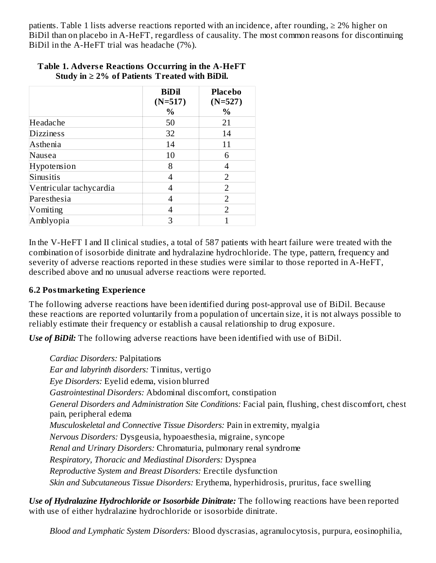patients. Table 1 lists adverse reactions reported with an incidence, after rounding,  $\geq 2\%$  higher on BiDil than on placebo in A-HeFT, regardless of causality. The most common reasons for discontinuing BiDil in the A-HeFT trial was headache (7%).

|                         | <b>BiDil</b><br>$(N=517)$<br>$\%$ | <b>Placebo</b><br>$(N=527)$<br>$\frac{0}{0}$ |
|-------------------------|-----------------------------------|----------------------------------------------|
| Headache                | 50                                | 21                                           |
| <b>Dizziness</b>        | 32                                | 14                                           |
| Asthenia                | 14                                | 11                                           |
| Nausea                  | 10                                | 6                                            |
| Hypotension             | 8                                 |                                              |
| Sinusitis               | 4                                 | $\mathcal{P}$                                |
| Ventricular tachycardia | 4                                 | $\overline{2}$                               |
| Paresthesia             | 4                                 | $\overline{2}$                               |
| Vomiting                | 4                                 | $\mathcal{D}$                                |
| Amblyopia               | З                                 |                                              |

#### **Table 1. Advers e Reactions Occurring in the A-HeFT Study in ≥ 2% of Patients Treated with BiDil.**

In the V-HeFT I and II clinical studies, a total of 587 patients with heart failure were treated with the combination of isosorbide dinitrate and hydralazine hydrochloride. The type, pattern, frequency and severity of adverse reactions reported in these studies were similar to those reported in A-HeFT, described above and no unusual adverse reactions were reported.

#### **6.2 Postmarketing Experience**

The following adverse reactions have been identified during post-approval use of BiDil*.* Because these reactions are reported voluntarily from a population of uncertain size, it is not always possible to reliably estimate their frequency or establish a causal relationship to drug exposure.

*Use of BiDil:* The following adverse reactions have been identified with use of BiDil.

*Cardiac Disorders:* Palpitations *Ear and labyrinth disorders:* Tinnitus, vertigo *Eye Disorders:* Eyelid edema, vision blurred *Gastrointestinal Disorders:* Abdominal discomfort, constipation *General Disorders and Administration Site Conditions:* Facial pain, flushing, chest discomfort, chest pain, peripheral edema *Musculoskeletal and Connective Tissue Disorders:* Pain in extremity, myalgia *Nervous Disorders:* Dysgeusia, hypoaesthesia, migraine, syncope *Renal and Urinary Disorders:* Chromaturia, pulmonary renal syndrome *Respiratory, Thoracic and Mediastinal Disorders:* Dyspnea *Reproductive System and Breast Disorders:* Erectile dysfunction *Skin and Subcutaneous Tissue Disorders:* Erythema, hyperhidrosis, pruritus, face swelling

*Use of Hydralazine Hydrochloride or Isosorbide Dinitrate:* The following reactions have been reported with use of either hydralazine hydrochloride or isosorbide dinitrate.

*Blood and Lymphatic System Disorders:* Blood dyscrasias, agranulocytosis, purpura, eosinophilia,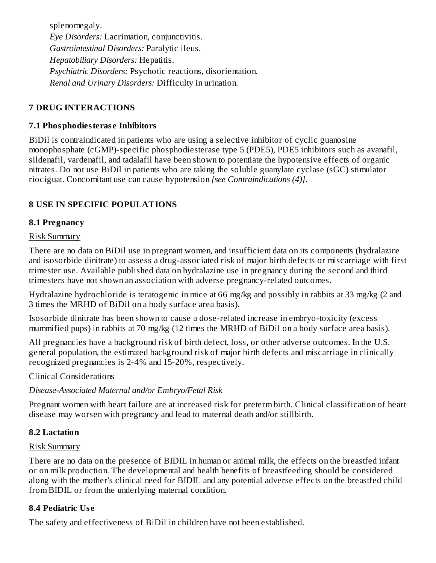splenomegaly. *Eye Disorders:* Lacrimation, conjunctivitis. *Gastrointestinal Disorders:* Paralytic ileus. *Hepatobiliary Disorders:* Hepatitis. *Psychiatric Disorders:* Psychotic reactions, disorientation. *Renal and Urinary Disorders:* Difficulty in urination.

## **7 DRUG INTERACTIONS**

#### **7.1 Phosphodiesteras e Inhibitors**

BiDil is contraindicated in patients who are using a selective inhibitor of cyclic guanosine monophosphate (cGMP)-specific phosphodiesterase type 5 (PDE5), PDE5 inhibitors such as avanafil, sildenafil, vardenafil, and tadalafil have been shown to potentiate the hypotensive effects of organic nitrates. Do not use BiDil in patients who are taking the soluble guanylate cyclase (sGC) stimulator riociguat. Concomitant use can cause hypotension *[see Contraindications (4)]*.

#### **8 USE IN SPECIFIC POPULATIONS**

#### **8.1 Pregnancy**

#### Risk Summary

There are no data on BiDil use in pregnant women, and insufficient data on its components (hydralazine and isosorbide dinitrate) to assess a drug-associated risk of major birth defects or miscarriage with first trimester use. Available published data on hydralazine use in pregnancy during the second and third trimesters have not shown an association with adverse pregnancy-related outcomes.

Hydralazine hydrochloride is teratogenic in mice at 66 mg/kg and possibly in rabbits at 33 mg/kg (2 and 3 times the MRHD of BiDil on a body surface area basis).

Isosorbide dinitrate has been shown to cause a dose-related increase in embryo-toxicity (excess mummified pups) in rabbits at 70 mg/kg (12 times the MRHD of BiDil on a body surface area basis).

All pregnancies have a background risk of birth defect, loss, or other adverse outcomes. In the U.S. general population, the estimated background risk of major birth defects and miscarriage in clinically recognized pregnancies is 2-4% and 15-20%, respectively.

#### Clinical Considerations

#### *Disease-Associated Maternal and/or Embryo/Fetal Risk*

Pregnant women with heart failure are at increased risk for preterm birth. Clinical classification of heart disease may worsen with pregnancy and lead to maternal death and/or stillbirth.

#### **8.2 Lactation**

#### Risk Summary

There are no data on the presence of BIDIL in human or animal milk, the effects on the breastfed infant or on milk production. The developmental and health benefits of breastfeeding should be considered along with the mother's clinical need for BIDIL and any potential adverse effects on the breastfed child from BIDIL or from the underlying maternal condition.

#### **8.4 Pediatric Us e**

The safety and effectiveness of BiDil in children have not been established.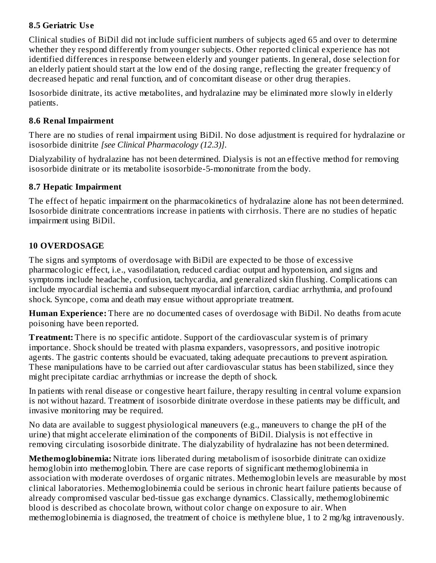## **8.5 Geriatric Us e**

Clinical studies of BiDil did not include sufficient numbers of subjects aged 65 and over to determine whether they respond differently from younger subjects. Other reported clinical experience has not identified differences in response between elderly and younger patients. In general, dose selection for an elderly patient should start at the low end of the dosing range, reflecting the greater frequency of decreased hepatic and renal function, and of concomitant disease or other drug therapies.

Isosorbide dinitrate, its active metabolites, and hydralazine may be eliminated more slowly in elderly patients.

#### **8.6 Renal Impairment**

There are no studies of renal impairment using BiDil. No dose adjustment is required for hydralazine or isosorbide dinitrite *[see Clinical Pharmacology (12.3)]*.

Dialyzability of hydralazine has not been determined*.* Dialysis is not an effective method for removing isosorbide dinitrate or its metabolite isosorbide-5-mononitrate from the body.

## **8.7 Hepatic Impairment**

The effect of hepatic impairment on the pharmacokinetics of hydralazine alone has not been determined. Isosorbide dinitrate concentrations increase in patients with cirrhosis. There are no studies of hepatic impairment using BiDil.

## **10 OVERDOSAGE**

The signs and symptoms of overdosage with BiDil are expected to be those of excessive pharmacologic effect, i.e., vasodilatation, reduced cardiac output and hypotension, and signs and symptoms include headache, confusion, tachycardia, and generalized skin flushing. Complications can include myocardial ischemia and subsequent myocardial infarction, cardiac arrhythmia, and profound shock. Syncope, coma and death may ensue without appropriate treatment.

**Human Experience:** There are no documented cases of overdosage with BiDil. No deaths from acute poisoning have been reported.

**Treatment:** There is no specific antidote. Support of the cardiovascular system is of primary importance. Shock should be treated with plasma expanders, vasopressors, and positive inotropic agents. The gastric contents should be evacuated, taking adequate precautions to prevent aspiration. These manipulations have to be carried out after cardiovascular status has been stabilized, since they might precipitate cardiac arrhythmias or increase the depth of shock.

In patients with renal disease or congestive heart failure, therapy resulting in central volume expansion is not without hazard. Treatment of isosorbide dinitrate overdose in these patients may be difficult, and invasive monitoring may be required.

No data are available to suggest physiological maneuvers (e.g., maneuvers to change the pH of the urine) that might accelerate elimination of the components of BiDil. Dialysis is not effective in removing circulating isosorbide dinitrate. The dialyzability of hydralazine has not been determined.

**Methemoglobinemia:** Nitrate ions liberated during metabolism of isosorbide dinitrate can oxidize hemoglobin into methemoglobin. There are case reports of significant methemoglobinemia in association with moderate overdoses of organic nitrates. Methemoglobin levels are measurable by most clinical laboratories. Methemoglobinemia could be serious in chronic heart failure patients because of already compromised vascular bed-tissue gas exchange dynamics. Classically, methemoglobinemic blood is described as chocolate brown, without color change on exposure to air. When methemoglobinemia is diagnosed, the treatment of choice is methylene blue, 1 to 2 mg/kg intravenously.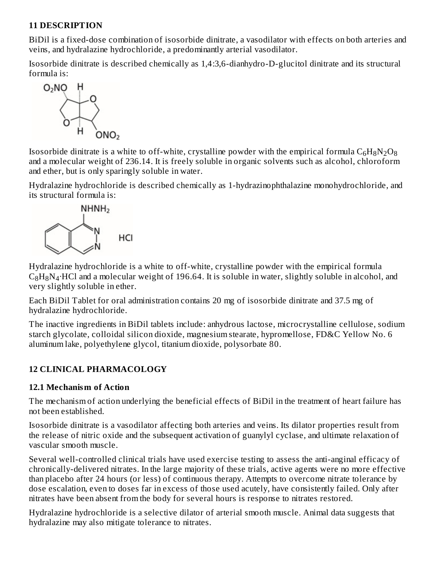## **11 DESCRIPTION**

BiDil is a fixed-dose combination of isosorbide dinitrate, a vasodilator with effects on both arteries and veins, and hydralazine hydrochloride, a predominantly arterial vasodilator.

Isosorbide dinitrate is described chemically as 1,4:3,6-dianhydro-D-glucitol dinitrate and its structural formula is:



Isosorbide dinitrate is a white to off-white, crystalline powder with the empirical formula  $\rm{C_6H_8N_2O_8}$ and a molecular weight of 236.14. It is freely soluble in organic solvents such as alcohol, chloroform and ether, but is only sparingly soluble in water.

Hydralazine hydrochloride is described chemically as 1-hydrazinophthalazine monohydrochloride, and its structural formula is:



Hydralazine hydrochloride is a white to off-white, crystalline powder with the empirical formula  $\rm{C_8H_8N_4\cdot HCl}$  and a molecular weight of 196.64. It is soluble in water, slightly soluble in alcohol, and very slightly soluble in ether.

Each BiDil Tablet for oral administration contains 20 mg of isosorbide dinitrate and 37.5 mg of hydralazine hydrochloride.

The inactive ingredients in BiDil tablets include: anhydrous lactose, microcrystalline cellulose, sodium starch glycolate, colloidal silicon dioxide, magnesium stearate, hypromellose, FD&C Yellow No. 6 aluminum lake, polyethylene glycol, titanium dioxide, polysorbate 80.

## **12 CLINICAL PHARMACOLOGY**

## **12.1 Mechanism of Action**

The mechanism of action underlying the beneficial effects of BiDil in the treatment of heart failure has not been established.

Isosorbide dinitrate is a vasodilator affecting both arteries and veins. Its dilator properties result from the release of nitric oxide and the subsequent activation of guanylyl cyclase, and ultimate relaxation of vascular smooth muscle.

Several well-controlled clinical trials have used exercise testing to assess the anti-anginal efficacy of chronically-delivered nitrates. In the large majority of these trials, active agents were no more effective than placebo after 24 hours (or less) of continuous therapy. Attempts to overcome nitrate tolerance by dose escalation, even to doses far in excess of those used acutely, have consistently failed. Only after nitrates have been absent from the body for several hours is response to nitrates restored.

Hydralazine hydrochloride is a selective dilator of arterial smooth muscle. Animal data suggests that hydralazine may also mitigate tolerance to nitrates.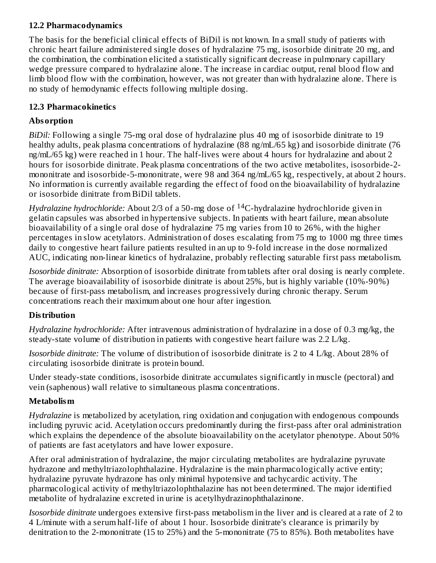## **12.2 Pharmacodynamics**

The basis for the beneficial clinical effects of BiDil is not known. In a small study of patients with chronic heart failure administered single doses of hydralazine 75 mg, isosorbide dinitrate 20 mg, and the combination, the combination elicited a statistically significant decrease in pulmonary capillary wedge pressure compared to hydralazine alone. The increase in cardiac output, renal blood flow and limb blood flow with the combination, however, was not greater than with hydralazine alone. There is no study of hemodynamic effects following multiple dosing.

## **12.3 Pharmacokinetics**

## **Absorption**

*BiDil:* Following a single 75-mg oral dose of hydralazine plus 40 mg of isosorbide dinitrate to 19 healthy adults, peak plasma concentrations of hydralazine (88 ng/mL/65 kg) and isosorbide dinitrate (76 ng/mL/65 kg) were reached in 1 hour. The half-lives were about 4 hours for hydralazine and about 2 hours for isosorbide dinitrate. Peak plasma concentrations of the two active metabolites, isosorbide-2 mononitrate and isosorbide-5-mononitrate, were 98 and 364 ng/mL/65 kg, respectively, at about 2 hours. No information is currently available regarding the effect of food on the bioavailability of hydralazine or isosorbide dinitrate from BiDil tablets.

*Hydralazine hydrochloride:* About 2/3 of a 50-mg dose of <sup>14</sup>C-hydralazine hydrochloride given in gelatin capsules was absorbed in hypertensive subjects. In patients with heart failure, mean absolute bioavailability of a single oral dose of hydralazine 75 mg varies from 10 to 26%, with the higher percentages in slow acetylators. Administration of doses escalating from 75 mg to 1000 mg three times daily to congestive heart failure patients resulted in an up to 9-fold increase in the dose normalized AUC, indicating non-linear kinetics of hydralazine, probably reflecting saturable first pass metabolism.

*Isosorbide dinitrate:* Absorption of isosorbide dinitrate from tablets after oral dosing is nearly complete. The average bioavailability of isosorbide dinitrate is about 25%, but is highly variable (10%-90%) because of first-pass metabolism, and increases progressively during chronic therapy. Serum concentrations reach their maximum about one hour after ingestion.

## **Distribution**

*Hydralazine hydrochloride:* After intravenous administration of hydralazine in a dose of 0.3 mg/kg, the steady-state volume of distribution in patients with congestive heart failure was 2.2 L/kg.

*Isosorbide dinitrate:* The volume of distribution of isosorbide dinitrate is 2 to 4 L/kg. About 28% of circulating isosorbide dinitrate is protein bound.

Under steady-state conditions, isosorbide dinitrate accumulates significantly in muscle (pectoral) and vein (saphenous) wall relative to simultaneous plasma concentrations.

## **Metabolism**

*Hydralazine* is metabolized by acetylation, ring oxidation and conjugation with endogenous compounds including pyruvic acid. Acetylation occurs predominantly during the first-pass after oral administration which explains the dependence of the absolute bioavailability on the acetylator phenotype. About 50% of patients are fast acetylators and have lower exposure.

After oral administration of hydralazine, the major circulating metabolites are hydralazine pyruvate hydrazone and methyltriazolophthalazine. Hydralazine is the main pharmacologically active entity; hydralazine pyruvate hydrazone has only minimal hypotensive and tachycardic activity. The pharmacological activity of methyltriazolophthalazine has not been determined. The major identified metabolite of hydralazine excreted in urine is acetylhydrazinophthalazinone.

*Isosorbide dinitrate* undergoes extensive first-pass metabolism in the liver and is cleared at a rate of 2 to 4 L/minute with a serum half-life of about 1 hour. Isosorbide dinitrate's clearance is primarily by denitration to the 2-mononitrate (15 to 25%) and the 5-mononitrate (75 to 85%). Both metabolites have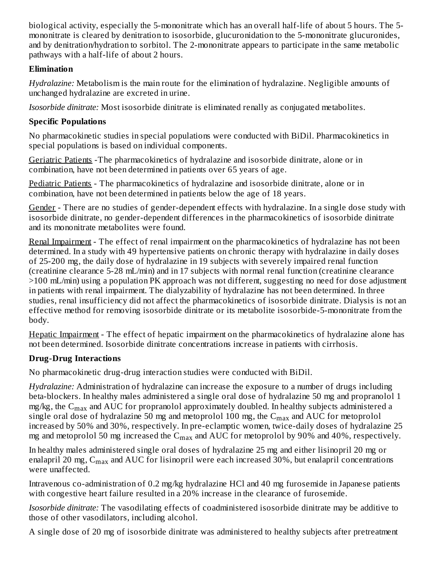biological activity, especially the 5-mononitrate which has an overall half-life of about 5 hours. The 5 mononitrate is cleared by denitration to isosorbide, glucuronidation to the 5-mononitrate glucuronides, and by denitration/hydration to sorbitol. The 2-mononitrate appears to participate in the same metabolic pathways with a half-life of about 2 hours.

## **Elimination**

*Hydralazine:* Metabolism is the main route for the elimination of hydralazine. Negligible amounts of unchanged hydralazine are excreted in urine.

*Isosorbide dinitrate:* Most isosorbide dinitrate is eliminated renally as conjugated metabolites.

# **Specific Populations**

No pharmacokinetic studies in special populations were conducted with BiDil. Pharmacokinetics in special populations is based on individual components.

Geriatric Patients -The pharmacokinetics of hydralazine and isosorbide dinitrate, alone or in combination, have not been determined in patients over 65 years of age.

Pediatric Patients - The pharmacokinetics of hydralazine and isosorbide dinitrate, alone or in combination, have not been determined in patients below the age of 18 years.

Gender - There are no studies of gender-dependent effects with hydralazine. In a single dose study with isosorbide dinitrate, no gender-dependent differences in the pharmacokinetics of isosorbide dinitrate and its mononitrate metabolites were found.

Renal Impairment - The effect of renal impairment on the pharmacokinetics of hydralazine has not been determined. In a study with 49 hypertensive patients on chronic therapy with hydralazine in daily doses of 25-200 mg, the daily dose of hydralazine in 19 subjects with severely impaired renal function (creatinine clearance 5-28 mL/min) and in 17 subjects with normal renal function (creatinine clearance >100 mL/min) using a population PK approach was not different, suggesting no need for dose adjustment in patients with renal impairment. The dialyzability of hydralazine has not been determined. In three studies, renal insufficiency did not affect the pharmacokinetics of isosorbide dinitrate. Dialysis is not an effective method for removing isosorbide dinitrate or its metabolite isosorbide-5-mononitrate from the body.

Hepatic Impairment - The effect of hepatic impairment on the pharmacokinetics of hydralazine alone has not been determined. Isosorbide dinitrate concentrations increase in patients with cirrhosis.

# **Drug-Drug Interactions**

No pharmacokinetic drug-drug interaction studies were conducted with BiDil.

*Hydralazine:* Administration of hydralazine can increase the exposure to a number of drugs including beta-blockers. In healthy males administered a single oral dose of hydralazine 50 mg and propranolol 1 mg/kg, the  $\rm{C_{max}}$  and  $\rm{AUC}$  for propranolol approximately doubled. In healthy subjects administered a single oral dose of hydralazine 50 mg and metoprolol 100 mg, the  $\rm{C_{max}}$  and  $\rm{AUC}$  for metoprolol increased by 50% and 30%, respectively. In pre-eclamptic women, twice-daily doses of hydralazine 25 mg and metoprolol 50 mg increased the  $\rm C_{max}$  and AUC for metoprolol by 90% and 40%, respectively.

In healthy males administered single oral doses of hydralazine 25 mg and either lisinopril 20 mg or enalapril 20 mg,  $\rm{C_{max}}$  and AUC for lisinopril were each increased 30%, but enalapril concentrations were unaffected.

Intravenous co-administration of 0.2 mg/kg hydralazine HCl and 40 mg furosemide in Japanese patients with congestive heart failure resulted in a 20% increase in the clearance of furosemide.

*Isosorbide dinitrate:* The vasodilating effects of coadministered isosorbide dinitrate may be additive to those of other vasodilators, including alcohol.

A single dose of 20 mg of isosorbide dinitrate was administered to healthy subjects after pretreatment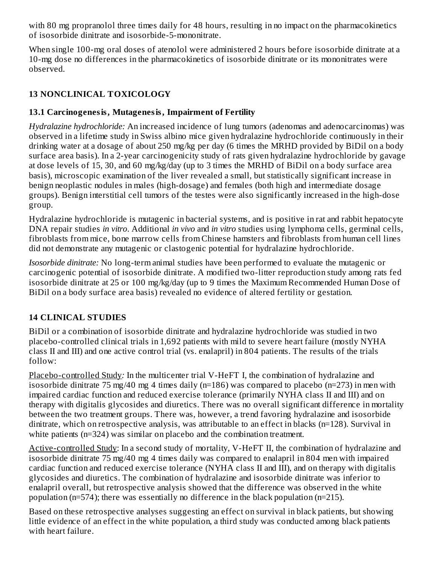with 80 mg propranolol three times daily for 48 hours, resulting in no impact on the pharmacokinetics of isosorbide dinitrate and isosorbide-5-mononitrate.

When single 100-mg oral doses of atenolol were administered 2 hours before isosorbide dinitrate at a 10-mg dose no differences in the pharmacokinetics of isosorbide dinitrate or its mononitrates were observed.

## **13 NONCLINICAL TOXICOLOGY**

## **13.1 Carcinogenesis, Mutagenesis, Impairment of Fertility**

*Hydralazine hydrochloride:* An increased incidence of lung tumors (adenomas and adenocarcinomas) was observed in a lifetime study in Swiss albino mice given hydralazine hydrochloride continuously in their drinking water at a dosage of about 250 mg/kg per day (6 times the MRHD provided by BiDil on a body surface area basis). In a 2-year carcinogenicity study of rats given hydralazine hydrochloride by gavage at dose levels of 15, 30, and 60 mg/kg/day (up to 3 times the MRHD of BiDil on a body surface area basis), microscopic examination of the liver revealed a small, but statistically significant increase in benign neoplastic nodules in males (high-dosage) and females (both high and intermediate dosage groups). Benign interstitial cell tumors of the testes were also significantly increased in the high-dose group.

Hydralazine hydrochloride is mutagenic in bacterial systems, and is positive in rat and rabbit hepatocyte DNA repair studies *in vitro*. Additional *in vivo* and *in vitro* studies using lymphoma cells, germinal cells, fibroblasts from mice, bone marrow cells from Chinese hamsters and fibroblasts from human cell lines did not demonstrate any mutagenic or clastogenic potential for hydralazine hydrochloride.

*Isosorbide dinitrate:* No long-term animal studies have been performed to evaluate the mutagenic or carcinogenic potential of isosorbide dinitrate. A modified two-litter reproduction study among rats fed isosorbide dinitrate at 25 or 100 mg/kg/day (up to 9 times the Maximum Recommended Human Dose of BiDil on a body surface area basis) revealed no evidence of altered fertility or gestation.

## **14 CLINICAL STUDIES**

BiDil or a combination of isosorbide dinitrate and hydralazine hydrochloride was studied in two placebo-controlled clinical trials in 1,692 patients with mild to severe heart failure (mostly NYHA class II and III) and one active control trial (vs. enalapril) in 804 patients. The results of the trials follow:

Placebo-controlled Study*:* In the multicenter trial V-HeFT I, the combination of hydralazine and isosorbide dinitrate 75 mg/40 mg 4 times daily (n=186) was compared to placebo (n=273) in men with impaired cardiac function and reduced exercise tolerance (primarily NYHA class II and III) and on therapy with digitalis glycosides and diuretics. There was no overall significant difference in mortality between the two treatment groups. There was, however, a trend favoring hydralazine and isosorbide dinitrate, which on retrospective analysis, was attributable to an effect in blacks (n=128). Survival in white patients (n=324) was similar on placebo and the combination treatment.

Active-controlled Study: In a second study of mortality, V-HeFT II, the combination of hydralazine and isosorbide dinitrate 75 mg/40 mg 4 times daily was compared to enalapril in 804 men with impaired cardiac function and reduced exercise tolerance (NYHA class II and III), and on therapy with digitalis glycosides and diuretics. The combination of hydralazine and isosorbide dinitrate was inferior to enalapril overall, but retrospective analysis showed that the difference was observed in the white population (n=574); there was essentially no difference in the black population (n=215).

Based on these retrospective analyses suggesting an effect on survival in black patients, but showing little evidence of an effect in the white population, a third study was conducted among black patients with heart failure.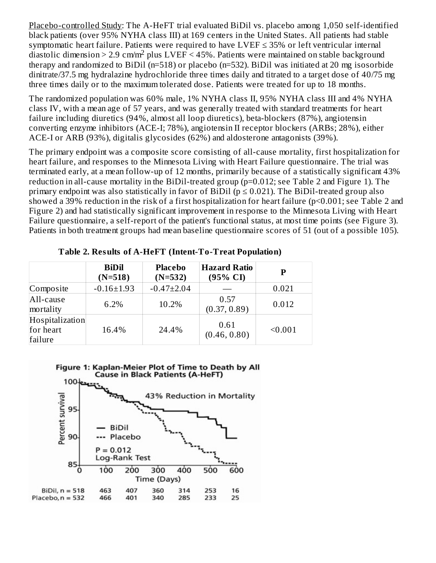Placebo-controlled Study: The A-HeFT trial evaluated BiDil vs. placebo among 1,050 self-identified black patients (over 95% NYHA class III) at 169 centers in the United States. All patients had stable symptomatic heart failure. Patients were required to have  $LVEF \leq 35\%$  or left ventricular internal diastolic dimension > 2.9 cm/m<sup>2</sup> plus LVEF < 45%. Patients were maintained on stable background therapy and randomized to BiDil (n=518) or placebo (n=532). BiDil was initiated at 20 mg isosorbide dinitrate/37.5 mg hydralazine hydrochloride three times daily and titrated to a target dose of 40/75 mg three times daily or to the maximum tolerated dose. Patients were treated for up to 18 months.

The randomized population was 60% male, 1% NYHA class II, 95% NYHA class III and 4% NYHA class IV, with a mean age of 57 years, and was generally treated with standard treatments for heart failure including diuretics (94%, almost all loop diuretics), beta-blockers (87%), angiotensin converting enzyme inhibitors (ACE-I; 78%), angiotensin II receptor blockers (ARBs; 28%), either ACE-I or ARB (93%), digitalis glycosides (62%) and aldosterone antagonists (39%).

The primary endpoint was a composite score consisting of all-cause mortality, first hospitalization for heart failure, and responses to the Minnesota Living with Heart Failure questionnaire. The trial was terminated early, at a mean follow-up of 12 months, primarily because of a statistically significant 43% reduction in all-cause mortality in the BiDil-treated group (p=0.012; see Table 2 and Figure 1). The primary endpoint was also statistically in favor of BiDil ( $p \le 0.021$ ). The BiDil-treated group also showed a 39% reduction in the risk of a first hospitalization for heart failure (p<0.001; see Table 2 and Figure 2) and had statistically significant improvement in response to the Minnesota Living with Heart Failure questionnaire, a self-report of the patient's functional status, at most time points (see Figure 3). Patients in both treatment groups had mean baseline questionnaire scores of 51 (out of a possible 105).

|                                         | <b>BiDil</b><br>$(N=518)$ | <b>Placebo</b><br>$(N=532)$ | <b>Hazard Ratio</b><br>$(95\% \text{ CI})$ | P       |
|-----------------------------------------|---------------------------|-----------------------------|--------------------------------------------|---------|
| Composite                               | $-0.16 \pm 1.93$          | $-0.47 \pm 2.04$            |                                            | 0.021   |
| All-cause<br>mortality                  | 6.2%                      | 10.2%                       | 0.57<br>(0.37, 0.89)                       | 0.012   |
| Hospitalization<br>for heart<br>failure | 16.4%                     | 24.4%                       | 0.61<br>(0.46, 0.80)                       | < 0.001 |

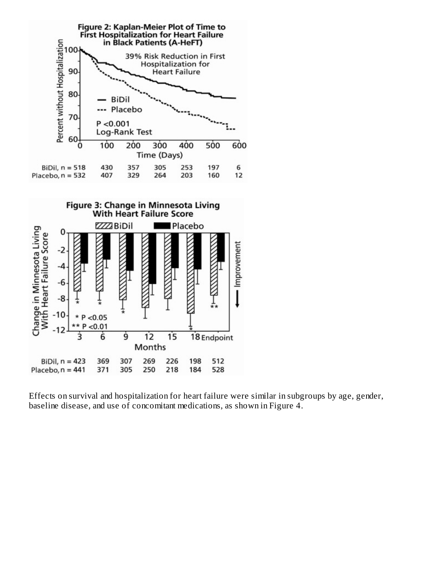

Effects on survival and hospitalization for heart failure were similar in subgroups by age, gender, baseline disease, and use of concomitant medications, as shown in Figure 4.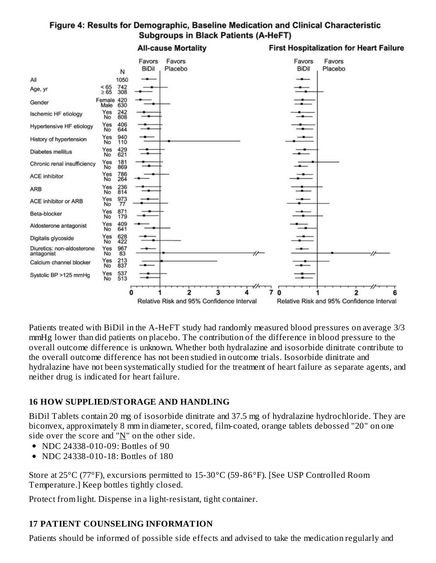## Figure 4: Results for Demographic, Baseline Medication and Clinical Characteristic **Subgroups in Black Patients (A-HeFT)**

**All-cause Mortality First Hospitalization for Heart Failure** Favors Favors Favors Favors **BiDil BiDil** Placebo Placebo N All 1050  $\frac{742}{308}$  $\frac{565}{265}$ Age, yr Female 420<br>Male 630 Gender Yes<br>No  $^{242}_{808}$ Ischemic HF etiology 406<br>644 Yes<br>No Hypertensive HF etiology 940 Yes<br>No History of hypertension Yes<br>No 429<br>621 **Diabetes mellitus** Yes<br>No 181<br>869 Chronic renal insufficiency Yes<br>No 786<br>264 **ACE inhibitor** 236<br>814 Yes<br>No ARB 973 Yes<br>No ACE inhibitor or ARB 871<br>179 Yes<br>No Beta-blocker 409<br>641 Yes<br>No Aldosterone antagonist Yes<br>No 628<br>422 Digitalis glycoside 967<br>83 Diuretics: non-aldosterone Yes<br>No antagonist Yes 213<br>837 Calcium channel blocker No Yes 537 Systolic BP >125 mmHg No 513  $\overline{2}$  $\overline{\mathbf{3}}$ 7  $\bf{0}$  $\overline{2}$  $\Omega$ 4 Բ Relative Risk and 95% Confidence Interval Relative Risk and 95% Confidence Interval

Patients treated with BiDil in the A-HeFT study had randomly measured blood pressures on average 3/3 mmHg lower than did patients on placebo. The contribution of the difference in blood pressure to the overall outcome difference is unknown. Whether both hydralazine and isosorbide dinitrate contribute to the overall outcome difference has not been studied in outcome trials. Isosorbide dinitrate and hydralazine have not been systematically studied for the treatment of heart failure as separate agents, and neither drug is indicated for heart failure.

## **16 HOW SUPPLIED/STORAGE AND HANDLING**

BiDil Tablets contain 20 mg of isosorbide dinitrate and 37.5 mg of hydralazine hydrochloride. They are biconvex, approximately 8 mm in diameter, scored, film-coated, orange tablets debossed "20" on one side over the score and " $N$ " on the other side.

- NDC 24338-010-09: Bottles of 90
- NDC 24338-010-18: Bottles of 180  $\bullet$

Store at 25°C (77°F), excursions permitted to 15-30°C (59-86°F). [See USP Controlled Room Temperature.] Keep bottles tightly closed.

Protect from light. Dispense in a light-resistant, tight container.

# **17 PATIENT COUNSELING INFORMATION**

Patients should be informed of possible side effects and advised to take the medication regularly and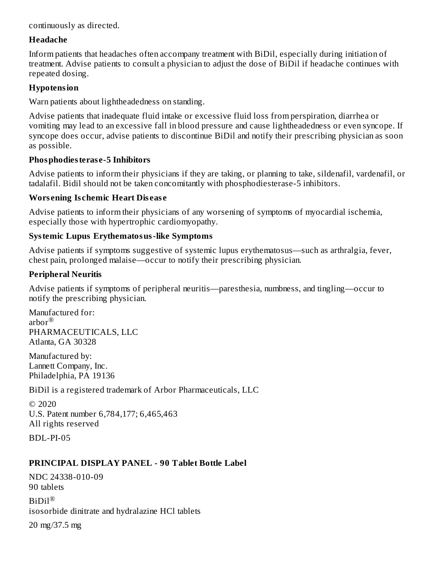continuously as directed.

#### **Headache**

Inform patients that headaches often accompany treatment with BiDil, especially during initiation of treatment. Advise patients to consult a physician to adjust the dose of BiDil if headache continues with repeated dosing.

#### **Hypotension**

Warn patients about lightheadedness on standing.

Advise patients that inadequate fluid intake or excessive fluid loss from perspiration, diarrhea or vomiting may lead to an excessive fall in blood pressure and cause lightheadedness or even syncope. If syncope does occur, advise patients to discontinue BiDil and notify their prescribing physician as soon as possible*.*

## **Phosphodiesteras e-5 Inhibitors**

Advise patients to inform their physicians if they are taking, or planning to take, sildenafil, vardenafil, or tadalafil. Bidil should not be taken concomitantly with phosphodiesterase-5 inhibitors.

## **Wors ening Is chemic Heart Dis eas e**

Advise patients to inform their physicians of any worsening of symptoms of myocardial ischemia, especially those with hypertrophic cardiomyopathy.

## **Systemic Lupus Erythematosus-like Symptoms**

Advise patients if symptoms suggestive of systemic lupus erythematosus—such as arthralgia, fever, chest pain, prolonged malaise—occur to notify their prescribing physician.

## **Peripheral Neuritis**

Advise patients if symptoms of peripheral neuritis—paresthesia, numbness, and tingling—occur to notify the prescribing physician.

Manufactured for: arbor ® PHARMACEUTICALS, LLC Atlanta, GA 30328

Manufactured by: Lannett Company, Inc. Philadelphia, PA 19136

BiDil is a registered trademark of Arbor Pharmaceuticals, LLC

© 2020 U.S. Patent number 6,784,177; 6,465,463 All rights reserved

BDL-PI-05

## **PRINCIPAL DISPLAY PANEL - 90 Tablet Bottle Label**

NDC 24338-010-09 90 tablets BiDil ®isosorbide dinitrate and hydralazine HCl tablets 20 mg/37.5 mg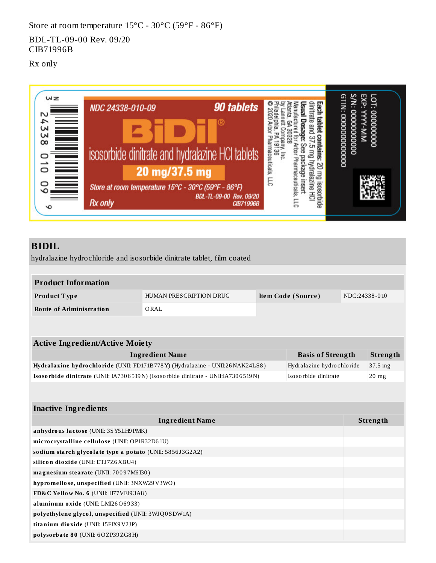Store at room temperature 15°C - 30°C (59°F - 86°F)

BDL-TL-09-00 Rev. 09/20 CIB71996B

Rx only



# **BIDIL**

hydralazine hydrochloride and isosorbide dinitrate tablet, film coated

| <b>Product Information</b>                               |                                                                                  |                    |                           |               |                 |
|----------------------------------------------------------|----------------------------------------------------------------------------------|--------------------|---------------------------|---------------|-----------------|
| Product Type                                             | HUMAN PRESCRIPTION DRUG                                                          | Item Code (Source) |                           | NDC:24338-010 |                 |
| <b>Route of Administration</b>                           | ORAL                                                                             |                    |                           |               |                 |
|                                                          |                                                                                  |                    |                           |               |                 |
| <b>Active Ingredient/Active Moiety</b>                   |                                                                                  |                    |                           |               |                 |
|                                                          | <b>Ingredient Name</b>                                                           |                    | <b>Basis of Strength</b>  |               | <b>Strength</b> |
|                                                          | Hydralazine hydrochloride (UNII: FD171B778Y) (Hydralazine - UNII:26NAK24LS8)     |                    | Hydralazine hydrochloride |               | 37.5 mg         |
|                                                          | Isosorbide dinitrate (UNII: IA7306519N) (Isosorbide dinitrate - UNII:IA7306519N) |                    | Iso so rbide dinitrate    |               | $20$ mg         |
| <b>Inactive Ingredients</b>                              |                                                                                  |                    |                           |               |                 |
|                                                          | <b>Ingredient Name</b>                                                           |                    |                           |               | Strength        |
| anhydrous lactose (UNII: 3SY5LH9PMK)                     |                                                                                  |                    |                           |               |                 |
| microcrystalline cellulose (UNII: OP1R32D61U)            |                                                                                  |                    |                           |               |                 |
| sodium starch glycolate type a potato (UNII: 5856J3G2A2) |                                                                                  |                    |                           |               |                 |
| silicon dioxide (UNII: ETJ7Z6XBU4)                       |                                                                                  |                    |                           |               |                 |
| magnesium stearate (UNII: 70097M6I30)                    |                                                                                  |                    |                           |               |                 |
| hypromellose, unspecified (UNII: 3NXW29V3WO)             |                                                                                  |                    |                           |               |                 |
| FD&C Yellow No. 6 (UNII: H77VEI93A8)                     |                                                                                  |                    |                           |               |                 |
| aluminum oxide (UNII: LMI26O6933)                        |                                                                                  |                    |                           |               |                 |
| polyethylene glycol, unspecified (UNII: 3WJQ0SDW1A)      |                                                                                  |                    |                           |               |                 |
| titanium dioxide (UNII: 15FIX9V2JP)                      |                                                                                  |                    |                           |               |                 |
| polysorbate 80 (UNII: 6OZP39ZG8H)                        |                                                                                  |                    |                           |               |                 |